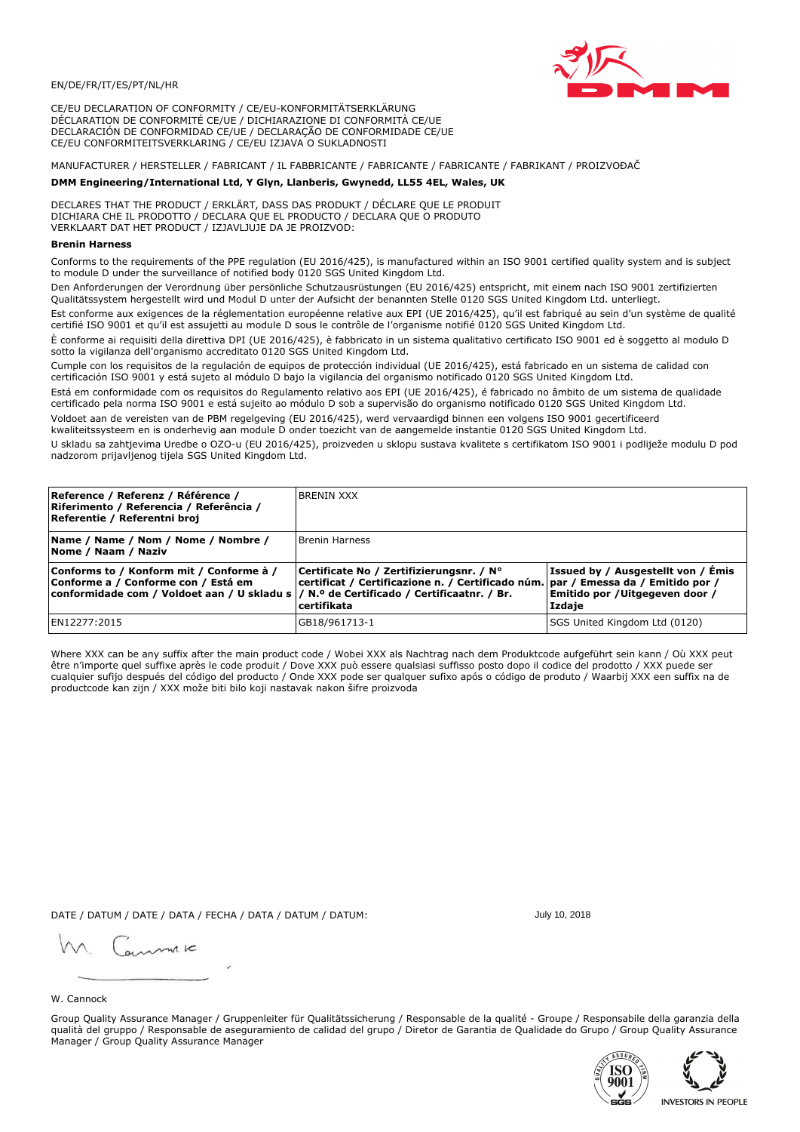

CE/EU DECLARATION OF CONFORMITY / CE/EU-KONFORMITÄTSERKLÄRUNG DÉCLARATION DE CONFORMITÉ CE/UE / DICHIARAZIONE DI CONFORMITÀ CE/UE DECLARACIÓN DE CONFORMIDAD CE/UE / DECLARAÇÃO DE CONFORMIDADE CE/UE CE/EU CONFORMITEITSVERKLARING / CE/EU IZJAVA O SUKLADNOSTI

# MANUFACTURER / HERSTELLER / FABRICANT / IL FABBRICANTE / FABRICANTE / FABRICANTE / FABRIKANT / PROIZVOĐAČ

# DMM Engineering/International Ltd, Y Glyn, Llanberis, Gwynedd, LL55 4EL, Wales, UK

DECLARES THAT THE PRODUCT / ERKLÄRT, DASS DAS PRODUKT / DÉCLARE QUE LE PRODUIT<br>DICHIARA CHE IL PRODOTTO / DECLARA QUE EL PRODUCTO / DECLARA QUE O PRODUTO VERKLAART DAT HET PRODUCT / IZJAVLJUJE DA JE PROIZVOD:

### **Brenin Harness**

Conforms to the requirements of the PPE regulation (EU 2016/425), is manufactured within an ISO 9001 certified quality system and is subject to module D under the surveillance of notified body 0120 SGS United Kingdom Ltd.

Den Anforderungen der Verordnung über persönliche Schutzausrüstungen (EU 2016/425) entspricht, mit einem nach ISO 9001 zertifizierten Qualitätssystem hergestellt wird und Modul D unter der Aufsicht der benannten Stelle 0120 SGS United Kingdom Ltd. unterliegt.

Est conforme aux exigences de la réglementation européenne relative aux EPI (UE 2016/425), qu'il est fabriqué au sein d'un système de qualité certifié ISO 9001 et qu'il est assujetti au module D sous le contrôle de l'organisme notifié 0120 SGS United Kingdom Ltd.

È conforme ai requisiti della direttiva DPI (UE 2016/425), è fabbricato in un sistema qualitativo certificato ISO 9001 ed è soggetto al modulo D sotto la vigilanza dell'organismo accreditato 0120 SGS United Kingdom Ltd.

Cumple con los requisitos de la regulación de equipos de protección individual (UE 2016/425), está fabricado en un sistema de calidad con certificación ISO 9001 y está sujeto al módulo D bajo la vigilancia del organismo notificado 0120 SGS United Kingdom Ltd.

Está em conformidade com os requisitos do Regulamento relativo aos EPI (UE 2016/425), é fabricado no âmbito de um sistema de qualidade certificado pela norma ISO 9001 e está sujeito ao módulo D sob a supervisão do organismo notificado 0120 SGS United Kingdom Ltd. Voldoet aan de vereisten van de PBM regelgeving (EU 2016/425), werd vervaardigd binnen een volgens ISO 9001 gecertificeerd

kwaliteitssysteem en is onderhevig aan module D onder toezicht van de aangemelde instantie 0120 SGS United Kingdom Ltd.

U skladu sa zahtjevima Uredbe o OZO-u (EU 2016/425), proizveden u sklopu sustava kvalitete s certifikatom ISO 9001 i podliježe modulu D pod nadzorom prijavljenog tijela SGS United Kingdom Ltd.

| Reference / Referenz / Référence /<br>Riferimento / Referencia / Referência /<br>Referentie / Referentni broj                                                               | <b>BRENIN XXX</b>                                                                                                                            |                                                                                 |
|-----------------------------------------------------------------------------------------------------------------------------------------------------------------------------|----------------------------------------------------------------------------------------------------------------------------------------------|---------------------------------------------------------------------------------|
| Name / Name / Nom / Nome / Nombre /<br>Nome / Naam / Naziv                                                                                                                  | <b>Brenin Harness</b>                                                                                                                        |                                                                                 |
| Conforms to / Konform mit / Conforme à /<br>Conforme a / Conforme con / Está em<br>conformidade com / Voldoet aan / U skladu s  / N.º de Certificado / Certificaatnr. / Br. | Certificate No / Zertifizierungsnr. / N°<br>certificat / Certificazione n. / Certificado núm. par / Emessa da / Emitido por /<br>certifikata | Issued by / Ausgestellt von / Émis<br>Emitido por / Uitgegeven door /<br>Izdaje |
| EN12277:2015                                                                                                                                                                | GB18/961713-1                                                                                                                                | SGS United Kingdom Ltd (0120)                                                   |

Where XXX can be any suffix after the main product code / Wobei XXX als Nachtrag nach dem Produktcode aufgeführt sein kann / Où XXX peut etre n'importe quel suffixe après le code produit / Dove XXX può essere qualsiasi suffisso posto dopo il codice del prodotto / XXX puede ser<br>cualquier sufijo después del código del producto / Onde XXX pode ser qualquer suf productcode kan zijn / XXX može biti bilo koji nastavak nakon šifre proizvoda

DATE / DATUM / DATE / DATA / FECHA / DATA / DATUM / DATUM:

gimmic

July 10, 2018

# W. Cannock

Group Quality Assurance Manager / Gruppenleiter für Qualitätssicherung / Responsable de la qualité - Groupe / Responsabile della garanzia della qualità del gruppo / Responsable de aseguramiento de calidad del grupo / Diretor de Garantia de Qualidade do Grupo / Group Quality Assurance Manager / Group Quality Assurance Manager



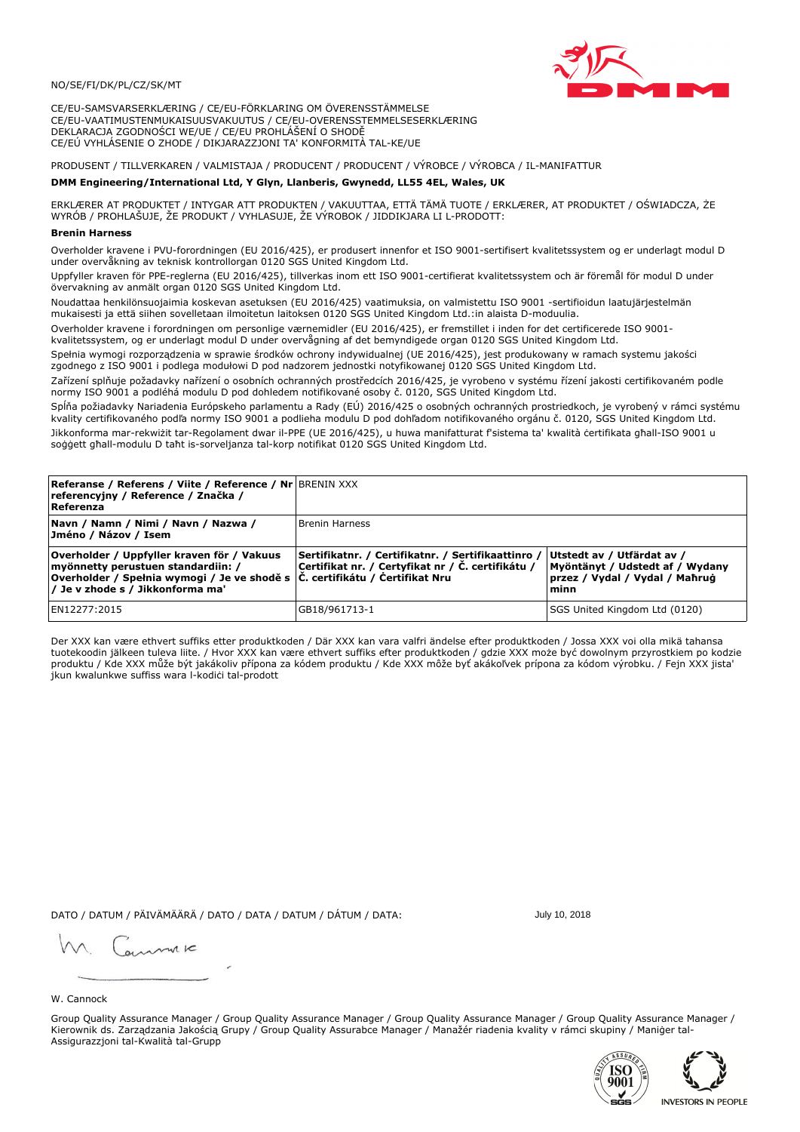### NO/SE/FI/DK/PL/CZ/SK/MT

CE/EU-SAMSVARSERKLÆRING / CE/EU-FÖRKLARING OM ÖVERENSSTÄMMELSE CE/EU-VAATIMUSTENMUKAISUUSVAKUUTUS / CE/EU-OVERENSSTEMMELSESERKLÆRING DEKLARACJA ZGODNOŚCI WE/UE / CE/EU PROHLÁŠENÍ O SHODĚ CE/EÚ VYHLÁSENIE O ZHODE / DIKJARAZZJONI TA' KONFORMITÀ TAL-KE/UE

PRODUSENT / TILLVERKAREN / VALMISTAJA / PRODUCENT / PRODUCENT / VÝROBCE / VÝROBCA / IL-MANIFATTUR

### DMM Engineering/International Ltd, Y Glyn, Llanberis, Gwynedd, LL55 4EL, Wales, UK

ERKLÆRER AT PRODUKTET / INTYGAR ATT PRODUKTEN / VAKUUTTAA, ETTÄ TÄMÄ TUOTE / ERKLÆRER, AT PRODUKTET / OŚWIADCZA, ŻE<br>WYRÓB / PROHLAŠUJE, ŽE PRODUKT / VYHLASUJE, ŽE VÝROBOK / JIDDIKJARA LI L-PRODOTT:

Overholder kravene i PVU-forordningen (EU 2016/425), er produsert innenfor et ISO 9001-sertifisert kvalitetssystem og er underlagt modul D<br>under overvåkning av teknisk kontrollorgan 0120 SGS United Kingdom Ltd.

Uppfyller kraven för PPE-reglerna (EU 2016/425), tillverkas inom ett ISO 9001-certifierat kvalitetssystem och är föremål för modul D under övervakning av anmält organ 0120 SGS United Kingdom Ltd.

Noudattaa henkilönsuojaimia koskevan asetuksen (EU 2016/425) vaatimuksia, on valmistettu ISO 9001 -sertifioidun laatujärjestelmän mukaisesti ja että siihen sovelletaan ilmoitetun laitoksen 0120 SGS United Kingdom Ltd.:in alaista D-moduulia.

Overholder kravene i forordningen om personlige værnemidler (EU 2016/425), er fremstillet i inden for det certificerede ISO 9001kvalitetssystem, og er underlagt modul D under overvågning af det bemyndigede organ 0120 SGS United Kingdom Ltd.

Spełnia wymogi rozporządzenia w sprawie środków ochrony indywidualnej (UE 2016/425), jest produkowany w ramach systemu jakości zgodnego z ISO 9001 i podlega modułowi D pod nadzorem jednostki notyfikowanej 0120 SGS United Kingdom Ltd.

Zařízení splňuje požadavky nařízení o osobních ochranných prostředcích 2016/425, je vyrobeno v systému řízení jakosti certifikovaném podle normy ISO 9001 a podléhá modulu D pod dohledem notifikované osoby č. 0120, SGS United Kingdom Ltd.

Spĺňa požiadavky Nariadenia Európskeho parlamentu a Rady (EÚ) 2016/425 o osobných ochranných prostriedkoch, je vyrobený v rámci systému kvality certifikovaného podľa normy ISO 9001 a podlieha modulu D pod dohľadom notifikovaného orgánu č. 0120, SGS United Kingdom Ltd. Jikkonforma mar-rekwiżit tar-Regolament dwar il-PPE (UE 2016/425), u huwa manifatturat f'sistema ta' kwalità certifikata għall-ISO 9001 u soggett ghall-modulu D taht is-sorveljanza tal-korp notifikat 0120 SGS United Kingdom Ltd.

| <b>Referanse / Referens / Viite / Reference / Nr BRENIN XXX</b><br>referencyjny / Reference / Značka /<br>Referenza                                                                                    |                                                                                                         |                                                                                                         |
|--------------------------------------------------------------------------------------------------------------------------------------------------------------------------------------------------------|---------------------------------------------------------------------------------------------------------|---------------------------------------------------------------------------------------------------------|
| Navn / Namn / Nimi / Navn / Nazwa /<br>Jméno / Názov / Isem                                                                                                                                            | <b>Brenin Harness</b>                                                                                   |                                                                                                         |
| Overholder / Uppfyller kraven för / Vakuus<br>myönnetty perustuen standardiin: /<br> Overholder / Spełnia wymogi / Je ve shodě s  Č. certifikátu / Certifikat Nru<br> / Je v zhode s / Jikkonforma ma' | Sertifikatnr. / Certifikatnr. / Sertifikaattinro /<br>Certifikat nr. / Certyfikat nr / Č. certifikátu / | Utstedt av / Utfärdat av /<br>Myöntänyt / Udstedt af / Wydany<br>przez / Vydal / Vydal / Maħruġ<br>minn |
| EN12277:2015                                                                                                                                                                                           | GB18/961713-1                                                                                           | SGS United Kingdom Ltd (0120)                                                                           |

Der XXX kan være ethvert suffiks etter produktkoden / Där XXX kan vara valfri ändelse efter produktkoden / Jossa XXX voi olla mikä tahansa tuotekoodin jälkeen tuleva liite. / Hvor XXX kan være ethvert suffiks efter produktkoden / gdzie XXX może być dowolnym przyrostkiem po kodzie produktu / Kde XXX může být jakákoliv přípona za kódem produktu / Kde XXX môže byť akákoľvek prípona za kódom výrobku. / Fejn XXX jista jkun kwalunkwe suffiss wara l-kodici tal-prodott

DATO / DATUM / PÄIVÄMÄÄRÄ / DATO / DATA / DATUM / DÁTUM / DATA:

July 10, 2018

annuic

W. Cannock

Group Quality Assurance Manager / Group Quality Assurance Manager / Group Quality Assurance Manager / Group Quality Assurance Manager / Kierownik ds. Zarządzania Jakością Grupy / Group Quality Assurabce Manager / Manažér riadenia kvality v rámci skupiny / Maniger tal-Assigurazzjoni tal-Kwalità tal-Grupp